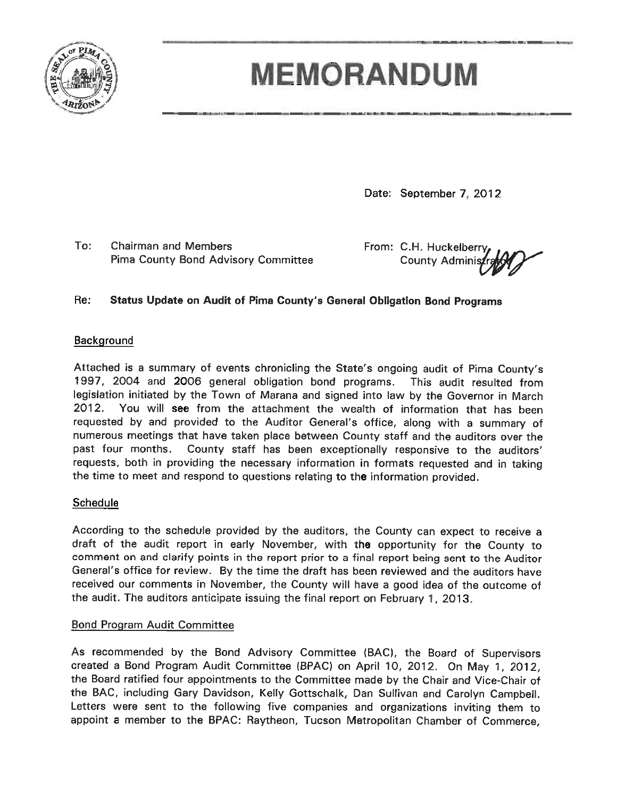

# **MEMORANDUM**

Date: September 7, 2012

To: **Chairman and Members** Pima County Bond Advisory Committee

From: C.H. Huckelberry **County Adminis** 

#### Re: Status Update on Audit of Pima County's General Obligation Bond Programs

# Background

Attached is a summary of events chronicling the State's ongoing audit of Pima County's 1997, 2004 and 2006 general obligation bond programs. This audit resulted from legislation initiated by the Town of Marana and signed into law by the Governor in March 2012. You will see from the attachment the wealth of information that has been requested by and provided to the Auditor General's office, along with a summary of numerous meetings that have taken place between County staff and the auditors over the past four months. County staff has been exceptionally responsive to the auditors' requests, both in providing the necessary information in formats requested and in taking the time to meet and respond to questions relating to the information provided.

# Schedule

According to the schedule provided by the auditors, the County can expect to receive a draft of the audit report in early November, with the opportunity for the County to comment on and clarify points in the report prior to a final report being sent to the Auditor General's office for review. By the time the draft has been reviewed and the auditors have received our comments in November, the County will have a good idea of the outcome of the audit. The auditors anticipate issuing the final report on February 1, 2013.

#### **Bond Program Audit Committee**

As recommended by the Bond Advisory Committee (BAC), the Board of Supervisors created a Bond Program Audit Committee (BPAC) on April 10, 2012. On May 1, 2012, the Board ratified four appointments to the Committee made by the Chair and Vice-Chair of the BAC, including Gary Davidson, Kelly Gottschalk, Dan Sullivan and Carolyn Campbell. Letters were sent to the following five companies and organizations inviting them to appoint a member to the BPAC: Raytheon, Tucson Metropolitan Chamber of Commerce,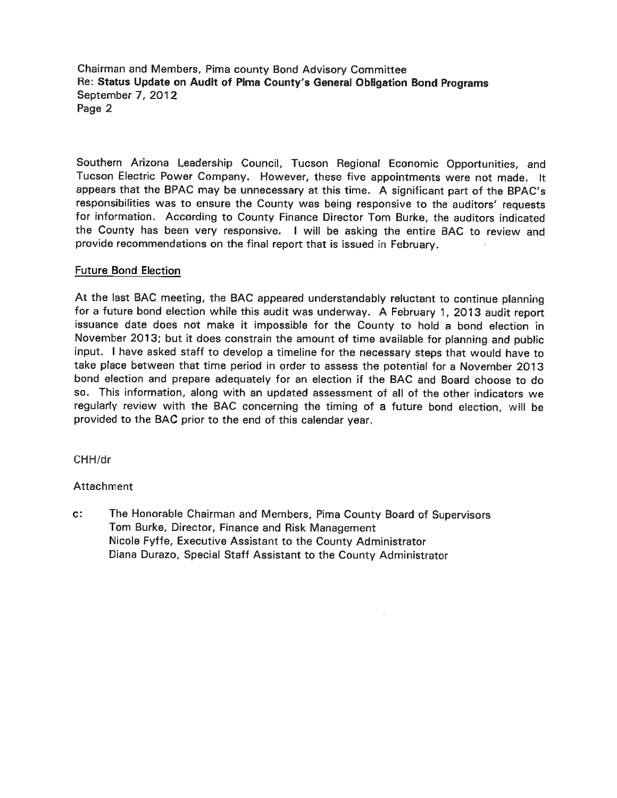Chairman and Members, Pima county Bond Advisory Committee Re: Status Update on Audit of Pima County's General Obligation Bond Programs September 7, 2012 Page 2

Southern Arizona Leadership Council, Tucson Regional Economic Opportunities, and Tucson Electric Power Company. However, these five appointments were not made. It appears that the BPAC may be unnecessary at this time. A significant part of the BPAC's responsibilities was to ensure the County was being responsive to the auditors' requests for information. According to County Finance Director Tom Burke, the auditors indicated the County has been very responsive. I will be asking the entire BAC to review and provide recommendations on the final report that is issued in February.

### **Future Bond Election**

At the last BAC meeting, the BAC appeared understandably reluctant to continue planning for a future bond election while this audit was underway. A February 1, 2013 audit report issuance date does not make it impossible for the County to hold a bond election in November 2013; but it does constrain the amount of time available for planning and public input. I have asked staff to develop a timeline for the necessary steps that would have to take place between that time period in order to assess the potential for a November 2013 bond election and prepare adequately for an election if the BAC and Board choose to do so. This information, along with an updated assessment of all of the other indicators we regularly review with the BAC concerning the timing of a future bond election, will be provided to the BAC prior to the end of this calendar year.

CHH/dr

#### Attachment

 $c:$ The Honorable Chairman and Members, Pima County Board of Supervisors Tom Burke, Director, Finance and Risk Management Nicole Fyffe, Executive Assistant to the County Administrator Diana Durazo, Special Staff Assistant to the County Administrator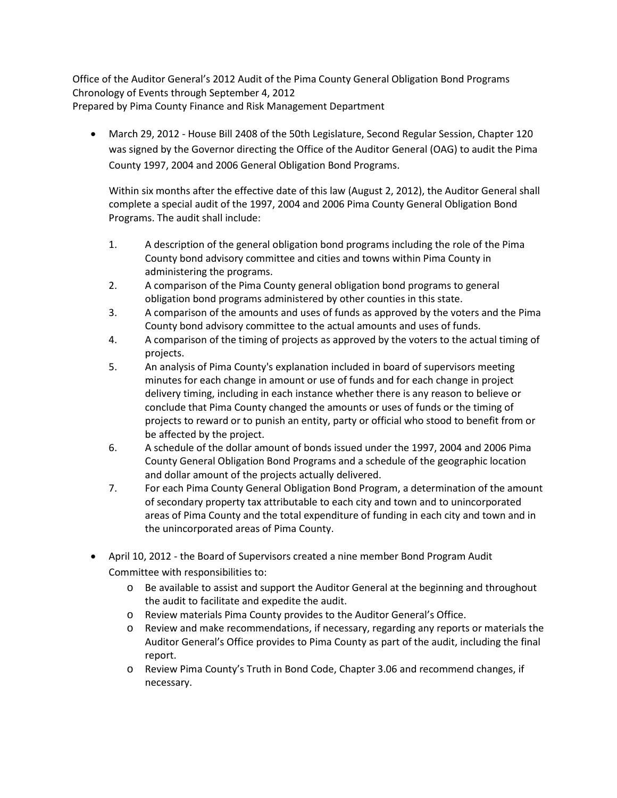Office of the Auditor General's 2012 Audit of the Pima County General Obligation Bond Programs Chronology of Events through September 4, 2012 Prepared by Pima County Finance and Risk Management Department

• March 29, 2012 - House Bill 2408 of the 50th Legislature, Second Regular Session, Chapter 120 was signed by the Governor directing the Office of the Auditor General (OAG) to audit the Pima County 1997, 2004 and 2006 General Obligation Bond Programs.

Within six months after the effective date of this law (August 2, 2012), the Auditor General shall complete a special audit of the 1997, 2004 and 2006 Pima County General Obligation Bond Programs. The audit shall include:

- 1. A description of the general obligation bond programs including the role of the Pima County bond advisory committee and cities and towns within Pima County in administering the programs.
- 2. A comparison of the Pima County general obligation bond programs to general obligation bond programs administered by other counties in this state.
- 3. A comparison of the amounts and uses of funds as approved by the voters and the Pima County bond advisory committee to the actual amounts and uses of funds.
- 4. A comparison of the timing of projects as approved by the voters to the actual timing of projects.
- 5. An analysis of Pima County's explanation included in board of supervisors meeting minutes for each change in amount or use of funds and for each change in project delivery timing, including in each instance whether there is any reason to believe or conclude that Pima County changed the amounts or uses of funds or the timing of projects to reward or to punish an entity, party or official who stood to benefit from or be affected by the project.
- 6. A schedule of the dollar amount of bonds issued under the 1997, 2004 and 2006 Pima County General Obligation Bond Programs and a schedule of the geographic location and dollar amount of the projects actually delivered.
- 7. For each Pima County General Obligation Bond Program, a determination of the amount of secondary property tax attributable to each city and town and to unincorporated areas of Pima County and the total expenditure of funding in each city and town and in the unincorporated areas of Pima County.
- April 10, 2012 the Board of Supervisors created a nine member Bond Program Audit Committee with responsibilities to:
	- o Be available to assist and support the Auditor General at the beginning and throughout the audit to facilitate and expedite the audit.
	- o Review materials Pima County provides to the Auditor General's Office.
	- o Review and make recommendations, if necessary, regarding any reports or materials the Auditor General's Office provides to Pima County as part of the audit, including the final report.
	- o Review Pima County's Truth in Bond Code, Chapter 3.06 and recommend changes, if necessary.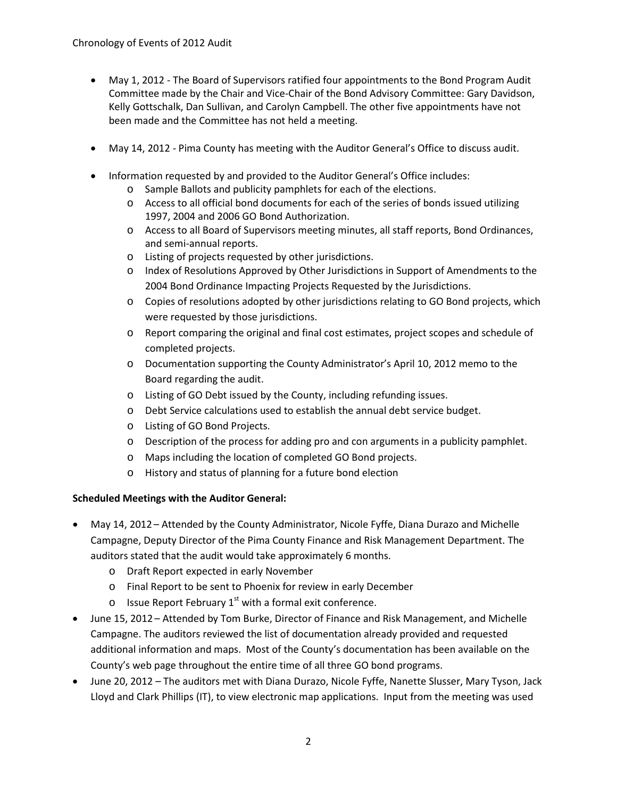- May 1, 2012 The Board of Supervisors ratified four appointments to the Bond Program Audit Committee made by the Chair and Vice-Chair of the Bond Advisory Committee: Gary Davidson, Kelly Gottschalk, Dan Sullivan, and Carolyn Campbell. The other five appointments have not been made and the Committee has not held a meeting.
- May 14, 2012 Pima County has meeting with the Auditor General's Office to discuss audit.
- Information requested by and provided to the Auditor General's Office includes:
	- o Sample Ballots and publicity pamphlets for each of the elections.
	- o Access to all official bond documents for each of the series of bonds issued utilizing 1997, 2004 and 2006 GO Bond Authorization.
	- o Access to all Board of Supervisors meeting minutes, all staff reports, Bond Ordinances, and semi-annual reports.
	- o Listing of projects requested by other jurisdictions.
	- o Index of Resolutions Approved by Other Jurisdictions in Support of Amendments to the 2004 Bond Ordinance Impacting Projects Requested by the Jurisdictions.
	- o Copies of resolutions adopted by other jurisdictions relating to GO Bond projects, which were requested by those jurisdictions.
	- o Report comparing the original and final cost estimates, project scopes and schedule of completed projects.
	- o Documentation supporting the County Administrator's April 10, 2012 memo to the Board regarding the audit.
	- o Listing of GO Debt issued by the County, including refunding issues.
	- o Debt Service calculations used to establish the annual debt service budget.
	- o Listing of GO Bond Projects.
	- o Description of the process for adding pro and con arguments in a publicity pamphlet.
	- o Maps including the location of completed GO Bond projects.
	- o History and status of planning for a future bond election

#### **Scheduled Meetings with the Auditor General:**

- May 14, 2012 Attended by the County Administrator, Nicole Fyffe, Diana Durazo and Michelle Campagne, Deputy Director of the Pima County Finance and Risk Management Department. The auditors stated that the audit would take approximately 6 months.
	- o Draft Report expected in early November
	- o Final Report to be sent to Phoenix for review in early December
	- $\circ$  Issue Report February 1<sup>st</sup> with a formal exit conference.
- June 15, 2012 Attended by Tom Burke, Director of Finance and Risk Management, and Michelle Campagne. The auditors reviewed the list of documentation already provided and requested additional information and maps. Most of the County's documentation has been available on the County's web page throughout the entire time of all three GO bond programs.
- June 20, 2012 The auditors met with Diana Durazo, Nicole Fyffe, Nanette Slusser, Mary Tyson, Jack Lloyd and Clark Phillips (IT), to view electronic map applications. Input from the meeting was used